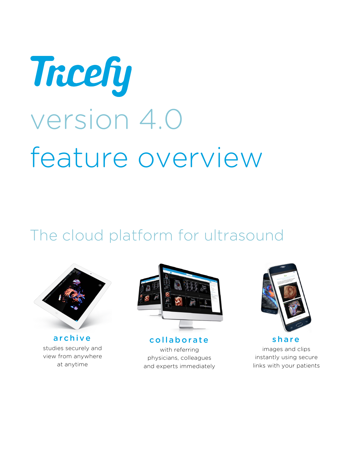

# The cloud platform for ultrasound



archive studies securely and view from anywhere at anytime



collaborate with referring physicians, colleagues and experts immediately



share images and clips instantly using secure links with your patients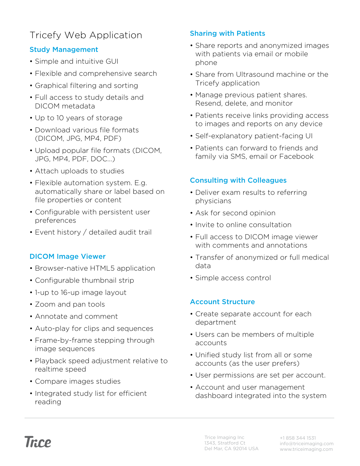# Tricefy Web Application

# Study Management

- Simple and intuitive GUI
- Flexible and comprehensive search
- Graphical filtering and sorting
- Full access to study details and DICOM metadata
- Up to 10 years of storage
- Download various file formats (DICOM, JPG, MP4, PDF)
- Upload popular file formats (DICOM, JPG, MP4, PDF, DOC…)
- Attach uploads to studies
- Flexible automation system. E.g. automatically share or label based on file properties or content
- Configurable with persistent user preferences
- Event history / detailed audit trail

## DICOM Image Viewer

- Browser-native HTML5 application
- Configurable thumbnail strip
- 1-up to 16-up image layout
- Zoom and pan tools
- Annotate and comment
- Auto-play for clips and sequences
- Frame-by-frame stepping through image sequences
- Playback speed adjustment relative to realtime speed
- Compare images studies
- Integrated study list for efficient reading

## Sharing with Patients

- Share reports and anonymized images with patients via email or mobile phone
- Share from Ultrasound machine or the Tricefy application
- Manage previous patient shares. Resend, delete, and monitor
- Patients receive links providing access to images and reports on any device
- Self-explanatory patient-facing UI
- Patients can forward to friends and family via SMS, email or Facebook

# Consulting with Colleagues

- Deliver exam results to referring physicians
- Ask for second opinion
- Invite to online consultation
- Full access to DICOM image viewer with comments and annotations
- Transfer of anonymized or full medical data
- Simple access control

## Account Structure

- Create separate account for each department
- Users can be members of multiple accounts
- Unified study list from all or some accounts (as the user prefers)
- User permissions are set per account.
- Account and user management dashboard integrated into the system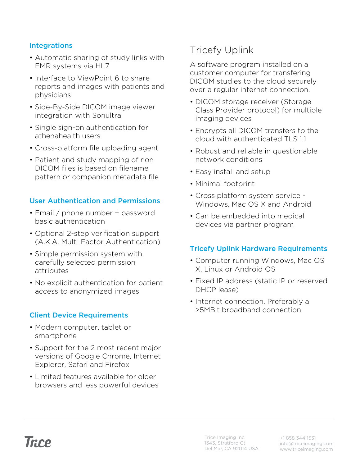#### Integrations

- Automatic sharing of study links with EMR systems via HL7
- Interface to ViewPoint 6 to share reports and images with patients and physicians
- Side-By-Side DICOM image viewer integration with Sonultra
- Single sign-on authentication for athenahealth users
- Cross-platform file uploading agent
- Patient and study mapping of non-DICOM files is based on filename pattern or companion metadata file

#### User Authentication and Permissions

- Email / phone number + password basic authentication
- Optional 2-step verification support (A.K.A. Multi-Factor Authentication)
- Simple permission system with carefully selected permission attributes
- No explicit authentication for patient access to anonymized images

#### Client Device Requirements

- Modern computer, tablet or smartphone
- Support for the 2 most recent major versions of Google Chrome, Internet Explorer, Safari and Firefox
- Limited features available for older browsers and less powerful devices

# Tricefy Uplink

A software program installed on a customer computer for transfering DICOM studies to the cloud securely over a regular internet connection.

- DICOM storage receiver (Storage Class Provider protocol) for multiple imaging devices
- Encrypts all DICOM transfers to the cloud with authenticated TLS 1.1
- Robust and reliable in questionable network conditions
- Easy install and setup
- Minimal footprint
- Cross platform system service Windows, Mac OS X and Android
- Can be embedded into medical devices via partner program

## Tricefy Uplink Hardware Requirements

- Computer running Windows, Mac OS X, Linux or Android OS
- Fixed IP address (static IP or reserved DHCP lease)
- Internet connection. Preferably a >5MBit broadband connection

Trice Imaging Inc 1343, Stratford Ct Del Mar, CA 92014 USA +1 858 344 1531 info@triceimaging.com www.triceimaging.com